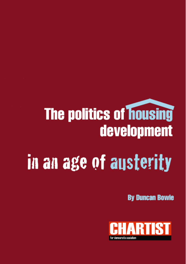# **The politics of housing** development in an age of austerity

**By Duncan Bowie** 

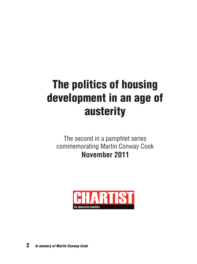# **The politics of housing development in an age of austerity**

The second in a pamphlet series commemorating Martin Conway Cook **November 2011**

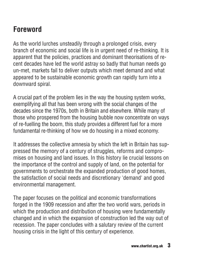## **Foreword**

As the world lurches unsteadily through a prolonged crisis, every branch of economic and social life is in urgent need of re-thinking. It is apparent that the policies, practices and dominant theorisations of recent decades have led the world astray so badly that human needs go un-met, markets fail to deliver outputs which meet demand and what appeared to be sustainable economic growth can rapidly turn into a downward spiral.

A crucial part of the problem lies in the way the housing system works, exemplifying all that has been wrong with the social changes of the decades since the 1970s, both in Britain and elsewhere. While many of those who prospered from the housing bubble now concentrate on ways of re-fuelling the boom, this study provides a different fuel for a more fundamental re-thinking of how we do housing in a mixed economy.

It addresses the collective amnesia by which the left in Britain has suppressed the memory of a century of struggles, reforms and compromises on housing and land issues. In this history lie crucial lessons on the importance of the control and supply of land, on the potential for governments to orchestrate the expanded production of good homes, the satisfaction of social needs and discretionary 'demand' and good environmental management.

The paper focuses on the political and economic transformations forged in the 1909 recession and after the two world wars, periods in which the production and distribution of housing were fundamentally changed and in which the expansion of construction led the way out of recession. The paper concludes with a salutary review of the current housing crisis in the light of this century of experience.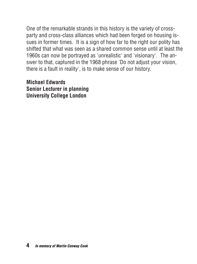One of the remarkable strands in this history is the variety of crossparty and cross-class alliances which had been forged on housing issues in former times. It is a sign of how far to the right our polity has shifted that what was seen as a shared common sense until at least the 1960s can now be portrayed as 'unrealistic' and 'visionary'. The answer to that, captured in the 1968 phrase 'Do not adjust your vision, there is a fault in reality', is to make sense of our history.

**Michael Edwards Senior Lecturer in planning University College London**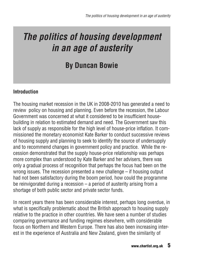# *The politics of housing development in an age of austerity*

### **By Duncan Bowie**

#### **Introduction**

The housing market recession in the UK in 2008-2010 has generated a need to review policy on housing and planning. Even before the recession, the Labour Government was concerned at what it considered to be insufficient housebuilding in relation to estimated demand and need. The Government saw this lack of supply as responsible for the high level of house-price inflation. It commissioned the monetary economist Kate Barker to conduct successive reviews of housing supply and planning to seek to identify the source of undersupply and to recommend changes in government policy and practice. While the recession demonstrated that the supply house-price relationship was perhaps more complex than understood by Kate Barker and her advisers, there was only a gradual process of recognition that perhaps the focus had been on the wrong issues. The recession presented a new challenge – if housing output had not been satisfactory during the boom period, how could the programme be reinvigorated during a recession – a period of austerity arising from a shortage of both public sector and private sector funds.

In recent years there has been considerable interest, perhaps long overdue, in what is specifically problematic about the British approach to housing supply relative to the practice in other countries. We have seen a number of studies comparing governance and funding regimes elsewhere, with considerable focus on Northern and Western Europe. There has also been increasing interest in the experience of Australia and New Zealand, given the similarity of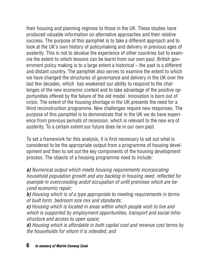their housing and planning regimes to those in the UK. These studies have produced valuable information on alternative approaches and their relative success. The purpose of this pamphlet is to take a different approach and to look at the UK's own history of policymaking and delivery in previous ages of austerity. This is not to devalue the experience of other countries but to examine the extent to which lessons can be learnt from our own past. British government policy making is to a large extent a historical – the past is a different and distant country. The pamphlet also serves to examine the extent to which we have changed the structures of governance and delivery in the UK over the last few decades, which has weakened our ability to respond to the challenges of the new economic context and to take advantage of the positive opportunities offered by the failure of the old model. Innovation is born out of crisis. The extent of the housing shortage in the UK presents the need for a third reconstruction programme. New challenges require new responses. The purpose of this pamphlet is to demonstrate that in the UK we do have experience from previous periods of recession, which is relevant to the new era of austerity. To a certain extent our future does lie in our own past.

To set a framework for this analysis, it is first necessary to set out what is considered to be the appropriate output from a programme of housing development and then to set out the key components of the housing development process. The objects of a housing programme need to include:

*a) Numerical output which meets housing requirements incorporating household population growth and any backlog in housing need, reflected for example in overcrowding andof occupation of unfit premises which are beyond economic repair;*

*b) Housing which is of a type appropriate to meeting requirements in terms of built form, bedroom size mix and standards;*

*c) Housing which is located in areas within which people wish to live and which is supported by employment opportunities, transport and social infrastructure and access to open space;*

*d) Housing which is affordable in both capital cost and revenue cost terms by the households for whom it is intended; and*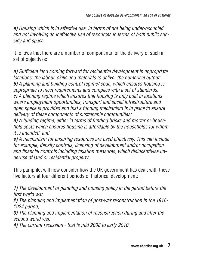*e) Housing which is in effective use, in terms of not being under-occupied and not involving an ineffective use of resources in terms of both public subsidy and space.*

It follows that there are a number of components for the delivery of such a set of objectives:

*a) Sufficient land coming forward for residential development in appropriate locations; the labour, skills and materials to deliver the numerical output; b) A planning and building control regime/ code, which ensures housing is appropriate to meet requirements and complies with a set of standards; c) A planning regime which ensures that housing is only built in locations where employment opportunities, transport and social infrastructure and open space is provided and that a funding mechanism is in place to ensure delivery of these components of sustainable communities;*

*d) A funding regime, either in terms of funding bricks and mortar or household costs which ensures housing is affordable by the households for whom it is intended; and*

*e) A mechanism for ensuring resources are used effectively. This can include for example, density controls, licensing of development and/or occupation and financial controls including taxation measures, which disincentivise underuse of land or residential property.*

This pamphlet will now consider how the UK government has dealt with these five factors at four different periods of historical development:

*1) The development of planning and housing policy in the period before the first world war.*

*2) The planning and implementation of post-war reconstruction in the 1916- 1924 period;*

*3) The planning and implementation of reconstruction during and after the second world war.*

*4) The current recession - that is mid 2008 to early 2010.*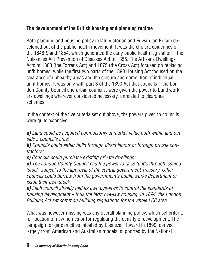#### **The development of the British housing and planning regime**

Both planning and housing policy in late Victorian and Edwardian Britain developed out of the public health movement. It was the cholera epidemics of the 1848-9 and 1854, which generated the early public health legislation – the Nuisances Act Prevention of Diseases Act of 1855. The Artisans Dwellings Acts of 1868 (the Torrens Act) and 1875 (the Cross Act) focused on replacing unfit homes, while the first two parts of the 1890 Housing Act focused on the clearance of unhealthy areas and the closure and demolition of individual unfit homes. It was only with part 3 of the 1890 Act that councils – the London County Council and urban councils, were given the power to build workers dwellings wherever considered necessary, unrelated to clearance schemes.

In the context of the five criteria set out above, the powers given to councils were quite extensive:

*a) Land could be acquired compulsorily at market value both within and outside a council's area;*

*b) Councils could either build through direct labour or through private contractors;*

*c) Councils could purchase existing private dwellings;*

*d) The London County Council had the power to raise funds through issuing 'stock' subject to the approval of the central government Treasury. Other councils could borrow from the government's public works department or issue their own stock;*

*e) Each council already had its own bye-laws to control the standards of housing development – thus the term bye-law housing. In 1894, the London Building Act set common building regulations for the whole LCC area.*

What was however missing was any overall planning policy, which set criteria for location of new homes or for regulating the density of development. The campaign for garden cities initiated by Ebenezer Howard in 1899, derived largely from American and Australian models, supported by the National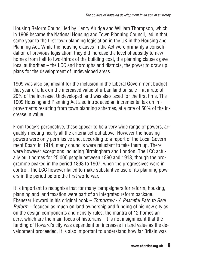Housing Reform Council led by Henry Alridge and William Thompson, which in 1909 became the National Housing and Town Planning Council, led in that same year to the first town planning legislation in the UK in the Housing and Planning Act. While the housing clauses in the Act were primarily a consolidation of previous legislation, they did increase the level of subsidy to new homes from half to two-thirds of the building cost, the planning clauses gave local authorities – the LCC and boroughs and districts, the power to draw up plans for the development of undeveloped areas.

1909 was also significant for the inclusion in the Liberal Government budget that year of a tax on the increased value of urban land on sale – at a rate of 20% of the increase. Undeveloped land was also taxed for the first time. The 1909 Housing and Planning Act also introduced an incremental tax on improvements resulting from town planning schemes, at a rate of 50% of the increase in value.

From today's perspective, these appear to be a very wide range of powers, arguably meeting nearly all the criteria set out above. However the housing powers were only permissive and, according to a report of the Local Government Board in 1914, many councils were reluctant to take them up, There were however exceptions including Birmingham and London. The LCC actually built homes for 25,000 people between 1890 and 1913, though the programme peaked in the period 1898 to 1907, when the progressives were in control. The LCC however failed to make substantive use of its planning powers in the period before the first world war.

It is important to recognise that for many campaigners for reform, housing, planning and land taxation were part of an integrated reform package. Ebenezer Howard in his original book – *Tomorrow - A Peaceful Path to Real Reform* – focused as much on land ownership and funding of his new city as on the design components and density rules, the mantra of 12 homes an acre, which are the main focus of historians. It is not insignificant that the funding of Howard's city was dependent on increases in land value as the development proceeded. It is also important to understand how far Britain was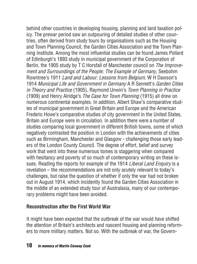behind other countries in developing housing, planning and land taxation policy. The prewar period saw an outpouring of detailed studies of other countries, often derived from study tours by organisations such as the Housing and Town Planning Council, the Garden Cities Association and the Town Planning Institute. Among the most influential studies can be found James Pollard of Edinburgh's 1893 study in municipal government of the Corporation of Berlin, the 1905 study by T C Horsfall of Manchester council on *The Improvement and Surroundings of the People: The Example of Germany*, Seebohm Rowntree's 1911 *Land and Labour: Lessons from Belgium*, W H Dawson's 1914 *Municipal Life and Government in Germany* A R Sennett's *Garden Cities in Theory and Practice* (1905), Raymond Unwin's *Town Planning in Practice* (1909) and Henry Alridge's *The Case for Town Planning* (1915) all drew on numerous continental examples. In addition, Albert Shaw's comparative studies of municipal government in Great Britain and Europe and the American Frederic Howe's comparative studies of city government in the United States, Britain and Europe were in circulation. In addition there were a number of studies comparing local government in different British towns, some of which negatively contrasted the position in London with the achievements of cities such as Birmingham, Manchester and Glasgow - challenging those early leaders of the London County Council. The degree of effort, belief and survey work that went into these numerous tomes is staggering when compared with hesitancy and poverty of so much of contemporary writing on these issues. Reading the reports for example of the 1914 *Liberal Land Enquiry* is a revelation – the recommendations are not only acutely relevant to today's challenges, but raise the question of whether if only the war had not broken out in August 1914, which incidently found the Garden Cities Association in the middle of an extended study tour of Australasia, many of our contemporary problems might have been avoided.

#### **Reconstruction after the First World War**

It might have been expected that the outbreak of the war would have shifted the attention of Britain's architects and nascent housing and planning reformers to more military matters. Not so. With the outbreak of war, the Govern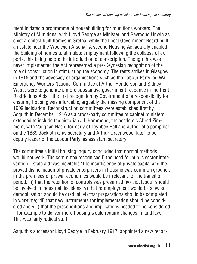ment initiated a programme of housebuilding for munitions workers. The Ministry of Munitions, with Lloyd George as Minister, and Raymond Unwin as chief architect built homes in Gretna, while the Local Government Board built an estate near the Woolwich Arsenal. A second Housing Act actually enabled the building of homes to stimulate employment following the collapse of exports, this being before the introduction of conscription. Though this was never implemented the Act represented a pre-Keynesian recognition of the role of construction in stimulating the economy. The rents strikes in Glasgow in 1915 and the advocacy of organisations such as the Labour Party led War Emergency Workers National Committee of Arthur Henderson and Sidney Webb, were to generate a more substantive government response in the Rent Restrictions Acts – the first recognition by Government of a responsibility for ensuring housing was affordable, arguably the missing component of the 1909 legislation. Reconstruction committees were established first by Asquith in December 1916 as a cross-party committee of cabinet ministers extended to include the historian J L Hammond, the academic Alfred Zimmern, with Vaughan Nash, formerly of Toynbee Hall and author of a pamphlet on the 1889 dock strike as secretary and Arthur Greenwood, later to be deputy leader of the Labour Party, as assistant secretary.

The committee's initial housing inquiry concluded that normal methods would not work. The committee recognised i) the need for public sector intervention – state aid was inevitable 'The insufficiency of private capital and the proved disinclination of private enterprisers in housing was common ground'; ii) the premises of prewar economics would be irrelevant for the transition period; iii) that the retention of controls was presumed; iv) that labour should be involved in industrial decisions; v) that re-employment would be slow so demobilisation should be gradual; vi) that preparations should be completed in war-time; vii) that new instruments for implementation should be considered and viii) that the preconditions and implications needed to be considered – for example to deliver more housing would require changes in land law. This was fairly radical stuff.

Asquith's successor Lloyd George in February 1917, appointed a new recon-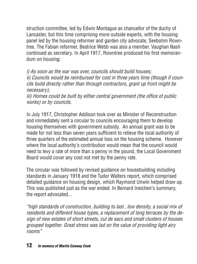struction committee, led by Edwin Montague as chancellor of the duchy of Lancaster, but this time comprising more outside experts, with the housing panel led by the housing reformer and garden city advocate, Seebohm Rowntree. The Fabian reformer, Beatrice Webb was also a member. Vaughan Nash continued as secretary. In April 1917, Rowntree produced his first memorandum on housing:

*i) As soon as the war was over, councils should build houses; ii) Councils would be reimbursed for cost in three years time (though if councils build directly rather than through contractors, grant up front might be necessary);*

*iii) Homes could be built by either central government (the office of public works) or by councils.*

In July 1917, Christopher Addison took over as Minister of Reconstruction and immediately sent a circular to councils encouraging them to develop housing themselves with government subsidy. An annual grant was to be made for not less than seven years sufficient to relieve the local authority of three quarters of the estimated annual loss on the housing scheme. However where the local authority's contribution would mean that the council would need to levy a rate of more than a penny in the pound, the Local Government Board would cover any cost not met by the penny rate.

The circular was followed by revised guidance on housebuilding including standards in January 1918 and the Tudor Walters report, which comprised detailed guidance on housing design, which Raymond Unwin helped draw up. This was published just as the war ended. In Bernard Ineichen's summary, the report advocated...

*"high standards of construction, building to last , low density, a social mix of residents and different house types, a replacement of long terraces by the design of new estates of short streets, cul de sacs and small clusters of houses grouped together. Great stress was lad on the value of providing light airy rooms"*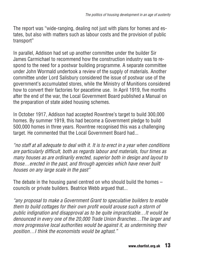The report was "wide-ranging, dealing not just with plans for homes and estates, but also with matters such as labour costs and the provision of public transport"

In parallel, Addison had set up another committee under the builder Sir James Carmichael to recommend how the construction industry was to respond to the need for a postwar building programme. A separate committee under John Wormald undertook a review of the supply of materials. Another committee under Lord Salisbury considered the issue of postwar use of the government's accumulated stores, while the Ministry of Munitions considered how to convert their factories for peacetime use. In April 1919, five months after the end of the war, the Local Government Board published a Manual on the preparation of state aided housing schemes.

In October 1917, Addison had accepted Rowntree's target to build 300,000 homes. By summer 1919, this had become a Government pledge to build 500,000 homes in three years. Rowntree recognised this was a challenging target. He commented that the Local Government Board had...

*"no staff at all adequate to deal with it. It is to erect in a year when conditions are particularly difficult, both as regards labour and materials, four times as many houses as are ordinarily erected, superior both in design and layout to those…erected in the past, and through agencies which have never built houses on any large scale in the past"*

The debate in the housing panel centred on who should build the homes – councils or private builders. Beatrice Webb argued that...

*"any proposal to make a Government Grant to speculative builders to enable them to build cottages for their own profit would arouse such a storm of public indignation and disapproval as to be quite impracticable…It would be denounced in every one of the 20,000 Trade Union Branches…The larger and more progressive local authorities would be against it, as undermining their position…I think the economists would be aghast."*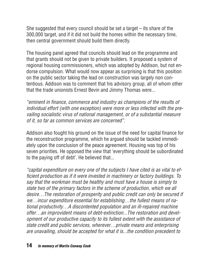She suggested that every council should be set a target – its share of the 300,000 target, and if it did not build the homes within the necessary time, then central government should build them directly.

The housing panel agreed that councils should lead on the programme and that grants should not be given to private builders. It proposed a system of regional housing commissioners, which was adopted by Addison, but not endorse compulsion. What would now appear as surprising is that this position on the public sector taking the lead on construction was largely non contentious. Addison was to comment that his advisory group, all of whom other that the trade unionists Ernest Bevin and Jimmy Thomas were...

*"eminent in finance, commerce and industry as champions of the results of individual effort (with one exception) were more or less infected with the prevailing socialistic virus of national management, or of a substantial measure of it, so far as common services are concerned".*

Addison also fought his ground on the issue of the need for capital finance for the reconstruction programme, which he argued should be tackled immediately upon the conclusion of the peace agreement. Housing was top of his seven priorities. He opposed the view that 'everything should be subordinated to the paying off of debt'. He believed that...

*"capital expenditure on every one of the subjects I have cited is as vital to efficient production as if it were invested in machinery or factory buildings. To say that the workman must be healthy and must have a house is simply to state two of the primary factors in the scheme of production, which we all desire…The restoration of prosperity and public credit can only be secured if we…incur expenditure essential for establishing…the fullest means of national productivity…A discontented population and an ill-repaired machine offer…an improvident means of debt-extinction...The restoration and development of our productive capacity to its fullest extent with the assistance of state credit and public services, wherever…private means and enterprising are unavailing, should be accepted for what it is...the condition precedent to*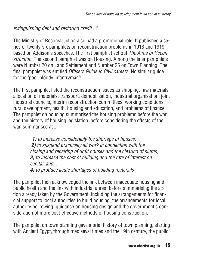*extinguishing debt and restoring credit..."*

The Ministry of Reconstruction also had a promotional role. It published a series of twenty-six pamphlets on reconstruction problems in 1918 and 1919, based on Addison's speeches. The first pamphlet set out *The Aims of Reconstruction*. The second pamphlet was on Housing. Among the later pamphlets were Number 20 on Land Settlement and Number 25 on Town Planning. The final pamphlet was entitled *Officers Guide in Civil careers*. No similar guide for the 'poor bloody infantryman'!

The first pamphlet listed the reconstruction issues as shipping, raw materials, allocation of materials, transport, demobilisation, industrial organisation, joint industrial councils, interim reconstruction committees, working conditions, rural development, health, housing and education, and problems of finance. The pamphlet on housing summarised the housing problems before the war and the history of housing legislation, before considering the effects of the war, summarised as..:

> *"1) to increase considerably the shortage of houses; 2) to suspend practically all work in connection with the closing and repairing of unfit houses and the clearing of slums; 3) to increase the cost of building and the rate of interest on capital; and... 4) to produce acute shortages of building materials"*

The pamphlet then acknowledged the link between inadequate housing and public health and the link with industrial unrest before summarising the action already taken by the Government, including the arrangements for financial support to local authorities to build housing, the arrangements for local authority borrowing, guidance on housing design and the government's consideration of more cost-effective methods of housing construction.

The pamphlet on town planning gave a brief history of town planning, starting with Ancient Egypt, through mediaeval times and the 19th century, the public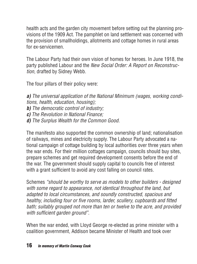health acts and the garden city movement before setting out the planning provisions of the 1909 Act. The pamphlet on land settlement was concerned with the provision of smallholdings, allotments and cottage homes in rural areas for ex-servicemen.

The Labour Party had their own vision of homes for heroes. In June 1918, the party published Labour and the *New Social Order: A Report on Reconstruction*, drafted by Sidney Webb.

The four pillars of their policy were:

*a) The universal application of the National Minimum (wages, working conditions, health, education, housing);*

*b) The democratic control of industry;*

- *c) The Revolution in National Finance;*
- *d) The Surplus Wealth for the Common Good.*

The manifesto also supported the common ownership of land; nationalisation of railways, mines and electricity supply. The Labour Party advocated a national campaign of cottage building by local authorities over three years when the war ends. For their million cottages campaign, councils should buy sites, prepare schemes and get required development consents before the end of the war. The government should supply capital to councils free of interest with a grant sufficient to avoid any cost falling on council rates.

Schemes *"should be worthy to serve as models to other builders - designed with some regard to appearance, not identical throughout the land, but adapted to local circumstances, and soundly constructed, spacious and healthy, including four or five rooms, larder, scullery, cupboards and fitted bath; suitably grouped not more than ten or twelve to the acre, and provided with sufficient garden ground"*.

When the war ended, with Lloyd George re-elected as prime minister with a coalition government, Addison became Minister of Health and took over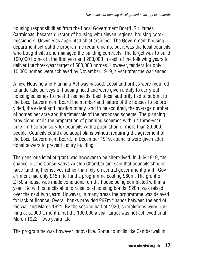housing responsibilities from the Local Government Board. Sir James Carmichael became director of housing with eleven regional housing commissioners. Unwin was appointed chief architect. The Government housing department set out the programme requirements, but it was the local councils who bought sites and managed the building contracts. The target was to build 100,000 homes in the first year and 200,000 in each of the following years to deliver the three-year target of 500,000 homes. However, tenders for only 10,000 homes were achieved by November 1919, a year after the war ended.

A new Housing and Planning Act was passed. Local authorities were required to undertake surveys of housing need and were given a duty to carry out housing schemes to meet these needs. Each local authority had to submit to the Local Government Board the number and nature of the houses to be provided, the extent and location of any land to ne acquired, the average number of homes per acre and the timescale of the proposed scheme. The planning provisions made the preparation of planning schemes within a three-year time limit compulsory for councils with a population of more than 20,000 people. Councils could also adopt plans without requiring the agreement of the Local Government Board. In December 1919, councils were given additional powers to prevent luxury building.

The generous level of grant was however to be short-lived. In July 1919, the chancellor, the Conservative Austen Chamberlain, said that councils should raise funding themselves rather than rely on central government grant. Government had only £15m to fund a programme costing £60m. The grant of £150 a house was made conditional on the house being completed within a year. So with councils able to raise local housing bonds, £20m was raised over the next two years. However, in many areas the programme was delayed for lack of finance. Overall banks provided £67m finance between the end of the war and March 1921. By the second half of 1920, completions were running at 5,.900 a month, but the 100,000 a year target was not achieved until March 1922 – two years late.

The programme was however innovative. Some councils like Camberwell in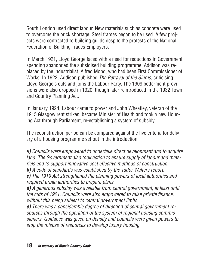South London used direct labour. New materials such as concrete were used to overcome the brick shortage. Steel frames began to be used. A few projects were contracted to building guilds despite the protests of the National Federation of Building Trades Employers.

In March 1921, Lloyd George faced with a need for reductions in Government spending abandoned the subsidised building programme. Addison was replaced by the industrialist, Alfred Mond, who had been First Commissioner of Works. In 1922, Addison published *The Betrayal of the Slums*, criticising Lloyd George's cuts and joins the Labour Party. The 1909 betterment provisions were also dropped in 1920, though later reintroduced in the 1932 Town and Country Planning Act.

In January 1924, Labour came to power and John Wheatley, veteran of the 1915 Glasgow rent strikes, became Minister of Health and took a new Housing Act through Parliament, re-establishing a system of subsidy.

The reconstruction period can be compared against the five criteria for delivery of a housing programme set out in the introduction.

**a***) Councils were empowered to undertake direct development and to acquire land. The Government also took action to ensure supply of labour and materials and to support innovative cost effective methods of construction. b) A code of standards was established by the Tudor Walters report.*

*c) The 1919 Act strengthened the planning powers of local authorities and required urban authorities to prepare plans.*

*d) A generous subsidy was available from central government, at least until the cuts of 1921. Councils were also empowered to raise private finance, without this being subject to central government limits.*

*e) There was a considerable degree of direction of central government resources through the operation of the system of regional housing commissioners. Guidance was given on density and councils were given powers to stop the misuse of resources to develop luxury housing.*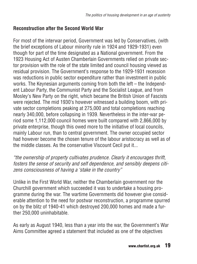#### **Reconstruction after the Second World War**

For most of the interwar period, Government was led by Conservatives, (with the brief exceptions of Labour minority rule in 1924 and 1929-1931) even though for part of the time designated as a National government. From the 1923 Housing Act of Austen Chamberlain Governments relied on private sector provision with the role of the state limited and council housing viewed as residual provision. The Government's response to the 1929-1931 recession was reductions in public sector expenditure rather than investment in public works. The Keynesian arguments coming from both the left – the Independent Labour Party, the Communist Party and the Socialist League, and from Mosley's New Party on the right, which became the British Union of Fascists were rejected. The mid 1930's however witnessed a building boom, with private sector completions peaking at 275,000 and total completions reaching nearly 340,000, before collapsing in 1939. Nevertheless in the inter-war period some 1,112,000 council homes were built compared with 2,866,000 by private enterprise, though this owed more to the initiative of local councils, mainly Labour run, than to central government. The owner occupied sector had however become the chosen tenure of the labour aristocracy as well as of the middle classes. As the conservative Viscount Cecil put it...

*"the ownership of property cultivates prudence. Clearly it encourages thrift, fosters the sense of security and self dependence, and sensibly deepens citizens consciousness of having a 'stake in the country"*

Unlike in the First World War, neither the Chamberlain government nor the Churchill government which succeeded it was to undertake a housing programme during the war. The wartime Governments did however give considerable attention to the need for postwar reconstruction, a programme spurred on by the blitz of 1940-41 which destroyed 200,000 homes and made a further 250,000 uninhabitable.

As early as August 1940, less than a year into the war, the Government's War Aims Committee agreed a statement that included as one of the objectives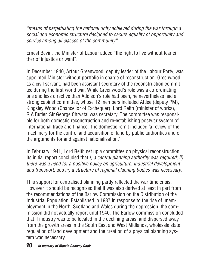*"means of perpetuating the national unity achieved during the war through a social and economic structure designed to secure equality of opportunity and service among all classes of the community"*

Ernest Bevin, the Minister of Labour added "the right to live without fear either of injustice or want".

In December 1940, Arthur Greenwood, deputy leader of the Labour Party, was appointed Minister without portfolio in charge of reconstruction. Greenwood, as a civil servant, had been assistant secretary of the reconstruction committee during the first world war. While Greenwood's role was a co-ordinating one and less directive than Addison's role had been, he nevertheless had a strong cabinet committee, whose 12 members included Attlee (deputy PM), Kingsley Wood (Chancellor of Exchequer), Lord Reith (minister of works), R A Butler. Sir George Chrystal was secretary. The committee was responsible for both domestic reconstruction and re-establishing postwar system of international trade and finance. The domestic remit included 'a review of the machinery for the control and acquisition of land by public authorities and of the arguments for and against nationalisation.'

In February 1941, Lord Reith set up a committee on physical reconstruction. Its initial report concluded that *i) a central planning authority was required; ii) there was a need for a positive policy on agriculture, industrial development and transport; and iii) a structure of regional planning bodies was necessary.*

This support for centralised planning partly reflected the war time crisis. However it should be recognised that it was also derived at least in part from the recommendations of the Barlow Commission on the Distribution of the Industrial Population. Established in 1937 in response to the rise of unemployment in the North, Scotland and Wales during the depression, the commission did not actually report until 1940. The Barlow commission concluded that if industry was to be located in the declining areas, and dispersed away from the growth areas in the South East and West Midlands, wholesale state regulation of land development and the creation of a physical planning system was necessary.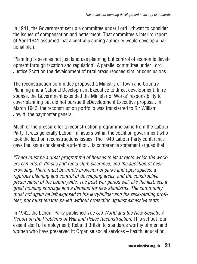In 1941, the Government set up a committee under Lord Uthwatt to consider the issues of compensation and betterment. That committee's interim report of April 1941 assumed that a central planning authority would develop a national plan.

'Planning is seen as not just land use planning but control of economic development through taxation and regulation'. A parallel committee under Lord Justice Scott on the development of rural areas reached similar conclusions.

The reconstruction committee proposed a Ministry of Town and Country Planning and a National Development Executive to direct development. In response, the Government extended the Minister of Works' responsibility to cover planning but did not pursue theDevelopment Executive proposal. In March 1943, the reconstruction portfolio was transferred to Sir William Jowitt, the paymaster general.

Much of the pressure for a reconstruction programme came from the Labour Party. It was generally Labour ministers within the coalition government who took the lead on reconstructions issues. The 1940 Labour Party conference gave the issue considerable attention. Its conference statement argued that

*"There must be a great programme of houses to let at rents which the workers can afford, drastic and rapid slum clearance, and the abolition of overcrowding. There must be ample provision of parks and open spaces, a rigorous planning and control of developing areas, and the constructive preservation of the countryside. The post-war period will, like the last, see a great housing shortage and a demand for new standards. The community must not again be left exposed to the jerrybuilder and the rack-renting profiteer; nor must tenants be left without protection against excessive rents."*

In 1942, the Labour Party published *The Old World and the New Society: A Report on the Problems of War and Peace Reconstruction*. This set out four essentials: Full employment; Rebuild Britain to standards worthy of men and women who have preserved it; Organise social services – health, education,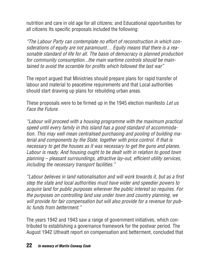nutrition and care in old age for all citizens; and Educational opportunities for all citizens Its specific proposals included the following:

*"The Labour Party can contemplate no effort of reconstruction in which considerations of equity are not paramount… Equity means that there is a reasonable standard of life for all. The basis of democracy is planned production for community consumption...the main wartime controls should be maintained to avoid the scramble for profits which followed the last war"*

The report argued that Ministries should prepare plans for rapid transfer of labour and material to peacetime requirements and that Local authorities should start drawing up plans for rebuilding urban areas.

These proposals were to be firmed up in the 1945 election manifesto *Let us Face the Future.*

*"Labour will proceed with a housing programme with the maximum practical speed until every family in this island has a good standard of accommodation. This may well mean centralised purchasing and pooling of building material and components by the State, together with price control. If that is necessary to get the houses as it was necessary to get the guns and planes, Labour is ready. And housing ought to be dealt with in relation to good town planning – pleasant surroundings, attractive lay-out, efficient utility services, including the necessary transport facilities."*

*"Labour believes in land nationalisation and will work towards it, but as a first step the state and local authorities must have wider and speedier powers to acquire land for public purposes wherever the public interest so requires. For the purposes on controlling land use under town and country planning, we will provide for fair compensation but will also provide for a revenue for public funds from betterment."*

The years 1942 and 1943 saw a range of government initiatives, which contributed to establishing a governance framework for the postwar period. The August 1942 Uthwatt report on compensation and betterment, concluded that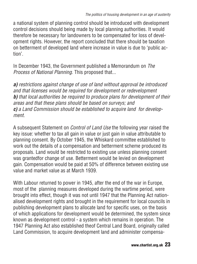a national system of planning control should be introduced with development control decisions should being made by local planning authorities. It would therefore be necessary for landowners to be compensated for loss of development rights. However, the report concluded that there should be taxation on betterment of developed land where increase in value is due to 'public action'.

In December 1943, the Government published a Memorandum on *The Process of National Planning*. This proposed that...

*a) restrictions against change of use of land without approval be introduced and that licenses would be required for development or redevelopment b) that local authorities be required to produce plans for development of their areas and that these plans should be based on surveys; and c) a Land Commission should be established to acquire land for development.*

A subsequent Statement on *Control of Land Use* the following year raised the key issue: whether to tax all gain in value or just gain in value attributable to planning consent. By October 1945, the Whiskard committee established to work out the details of a compensation and betterment scheme produced its proposals. Land would be restricted to existing use unless planning consent was grantedfor change of use. Betterment would be levied on development gain. Compensation would be paid at 50% of difference between existing use value and market value as at March 1939.

With Labour returned to power in 1945, after the end of the war in Europe, most of the planning measures developed during the wartime period, were brought into effect, though it was not until 1947 that the Planning Act nationalised development rights and brought in the requirement for local councils in publishing development plans to allocate land for specific uses, on the basis of which applications for development would be determined, the system since known as development control - a system which remains in operation. The 1947 Planning Act also established theof Central Land Board, originally called Land Commission, to acquire development land and administer compensa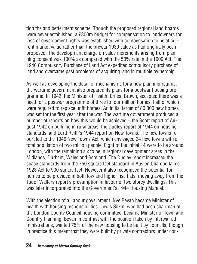tion the and betterment scheme. Though the proposed regional land boards were never established, a £300m budget for compensation to landowners for loss of development rights was established with compensation to be at current market value rather than the prewar 1939 value as had originally been proposed. The development charge on value increments arising from planning consent was 100% as compared with the 50% rate in the 1909 Act. The 1946 Compulsory Purchase of Land Act expedited compulsory purchase of land and overcame past problems of acquiring land in multiple ownership.

As well as developing the detail of mechanisms for a new planning regime, the wartime government also prepared its plans for a postwar housing programme. In 1942, the Minister of Health, Ernest Brown, accepted there was a need for a postwar programme of three to four million homes, half of which were required to replace unfit homes. An initial target of 80,000 new homes was set for the first year after the war. The wartime government produced a number of reports on how this would be achieved – the Scott report of August 1942 on building in rural areas, the Dudley report of 1944 on housing standards, and Lord Reith's 1944 report on New Towns. The new towns report led to the 1946 New Towns Act, which envisaged 24 new towns with a total population of two million people. Eight of the initial 14 were to be around London, with the remaining six to be in regional development areas in the Midlands, Durham, Wales and Scotland. The Dudley report increased the space standards from the 750 square feet standard in Austen Chamberlain's 1923 Act to 900 square feet. However it also recognised the potential for homes to be provided in both low and higher rise flats, moving away from the Tudor Walters report's presumption in favour of two storey dwellings. This was later incorporated into the Government's 1944 Housing Manual.

With the election of a Labour government, Nye Bevan became Minister of health with housing responsibilities. Lewis Silkin, who had been chairman of the London County Council housing committee, became Minister of Town and Country Planning. Bevan in contrast with the position taken by interwar administrations, wanted 75% of the new housing to be built by councils, though in practice this meant that they were built by private contractors under con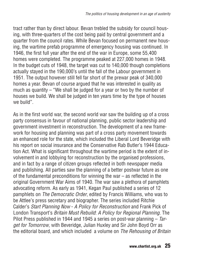tract rather than by direct labour. Bevan trebled the subsidy for council housing, with three-quarters of the cost being paid by central government and a quarter from the council rates. While Bevan focused on permanent new housing, the wartime prefab programme of emergency housing was continued. In 1946, the first full year after the end of the war in Europe, some 55,400 homes were completed. The programme peaked at 227,000 homes in 1948. In the budget cuts of 1948, the target was cut to 140,000 though completions actually stayed in the 190,000's until the fall of the Labour government in 1951. The output however still fell far short of the prewar peak of 340,000 homes a year. Bevan of course argued that he was interested in quality as much as quantity – "We shall be judged for a year or two by the number of houses we build. We shall be judged in ten years time by the type of houses we build".

As in the first world war, the second world war saw the building up of a cross party consensus in favour of national planning, public sector leadership and government investment in reconstruction. The development of a new framework for housing and planning was part of a cross party movement towards an enhanced role for the state, which included the Liberal Lord Beveridge with his report on social insurance and the Conservative Rab Butler's 1944 Education Act. What is significant throughout the wartime period is the extent of involvement in and lobbying for reconstruction by the organised professions, and in fact by a range of citizen groups reflected in both newspaper media and publishing. All parties saw the planning of a better postwar future as one of the fundamental preconditions for winning the war – as reflected in the original Government War Aims of 1940. The war saw a plethora of pamphlets advocating reform. As early as 1941, Kegan Paul published a series of 12 pamphlets on *The Democratic Order*, edited by Francis Williams, who was to be Attlee's press secretary and biographer. The series included Ritchie Calder's *Start Planning Now* - *A Policy for Reconstruction* and Frank Pick of London Transport's *Britain Must Rebuild*: *A Policy for Regional Planning*. The Pilot Press published in 1944 and 1945 a series on post-war planning – *Target for Tomorrow*, with Beveridge, Julian Huxley and Sir John Boyd Orr as the editorial board, and which included a volume on *The Rehousing of Britain*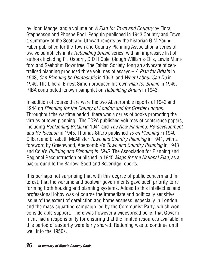by John Madge, and a volume on *A Plan for Town and Country* by Flora Stephenson and Phoebe Pool. Penguin published in 1943 Country and Town, a summary of the Scott and Uthwatt reports by the historian G M Young. Faber published for the Town and Country Planning Association a series of twelve pamphlets in its *Rebuilding Britain* series, with an impressive list of authors including F J Osborn, G D H Cole, Clough Williams-Ellis, Lewis Mumford and Seebohm Rowntree. The Fabian Society, long an advocate of centralised planning produced three volumes of essays – *A Plan for Britain* in 1943, *Can Planning be Democratic* in 1943, and *What Labour Can Do* in 1945. The Liberal Ernest Simon produced his own *Plan for Britain* in 1945. RIBA contributed its own pamphlet on *Rebuilding Britain* in 1943.

In addition of course there were the two Abercrombie reports of 1943 and 1944 on *Planning for the County of London and for Greater London*. Throughout the wartime period, there was a series of books promoting the virtues of town planning. The TCPA published volumes of conference papers, including *Replanning Britain* in 1941 and *The New Planning: Re-development and Re-location* in 1945. Thomas Sharp published *Town Planning i*n 1940; Gilbert and Elizabeth McAllister *Town and Country Planning* in 1941, with a foreword by Greenwood, Abercombie's *Town and Country Planning* in 1943 and Cole's *Building and Planning in 1945*. The Association for Planning and Regional Reconstruction published in 1945 *Maps for the National Plan*, as a background to the Barlow, Scott and Beveridge reports.

It is perhaps not surprising that with this degree of public concern and interest, that the wartime and postwar governments gave such priority to reforming both housing and planning systems. Added to this intellectual and professional lobby was of course the immediate and politically sensitive issue of the extent of dereliction and homelessness, especially in London and the mass squatting campaign led by the Communist Party, which won considerable support. There was however a widespread belief that Government had a responsibility for ensuring that the limited resources available in this period of austerity were fairly shared. Rationing was to continue until well into the 1950s.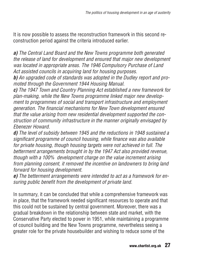It is now possible to assess the reconstruction framework in this second reconstruction period against the criteria introduced earlier.

*a) The Central Land Board and the New Towns programme both generated the release of land for development and ensured that major new development was located in appropriate areas. The 1946 Compulsory Purchase of Land Act assisted councils in acquiring land for housing purposes.*

*b) An upgraded code of standards was adopted in the Dudley report and promoted through the Government 1944 Housing Manual.*

*c) The 1947 Town and Country Planning Act established a new framework for plan-making, while the New Towns programme linked major new development to programmes of social and transport infrastructure and employment generation. The financial mechanisms for New Town development ensured that the value arising from new residential development supported the construction of community infrastructure in the manner originally envisaged by Ebenezer Howard.*

*d) The level of subsidy between 1945 and the reductions in 1948 sustained a significant programme of council housing, while finance was also available for private housing, though housing targets were not achieved in full. The betterment arrangements brought in by the 1947 Act also provided revenue, though with a 100% development charge on the value increment arising from planning consent, it removed the incentive on landowners to bring land forward for housing development.*

*e) The betterment arrangements were intended to act as a framework for ensuring public benefit from the development of private land.*

In summary, it can be concluded that while a comprehensive framework was in place, that the framework needed significant resources to operate and that this could not be sustained by central government. Moreover, there was a gradual breakdown in the relationship between state and market, with the Conservative Party elected to power in 1951, while maintaining a programme of council building and the New Towns programme, nevertheless seeing a greater role for the private housebuilder and wishing to reduce some of the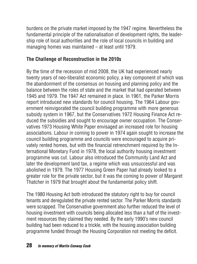burdens on the private market imposed by the 1947 regime. Nevertheless the fundamental principle of the nationalisation of development rights, the leadership role of local authorities and the role of local councils in building and managing homes was maintained – at least until 1979.

#### **The Challenge of Reconstruction in the 2010s**

By the time of the recession of mid 2008, the UK had experienced nearly twenty years of neo-liberalist economic policy, a key component of which was the abandonment of the consensus on housing and planning policy and the balance between the roles of state and the market that had operated between 1945 and 1979. The 1947 Act remained in place. In 1961, the Parker Morris report introduced new standards for council housing. The 1964 Labour government reinvigorated the council building programme with more generous subsidy system in 1967, but the Conservatives 1972 Housing Finance Act reduced the subsidies and sought to encourage owner occupation. The Conservatives 1973 Housing White Paper envisaged an increased role for housing associations. Labour in coming to power in 1974 again sought to increase the council building programme and councils were encouraged to acquire privately rented homes, but with the financial retrenchment required by the International Monetary Fund in 1978, the local authority housing investment programme was cut. Labour also introduced the Community Land Act and later the development land tax, a regime which was unsuccessful and was abolished in 1979. The 1977 Housing Green Paper had already looked to a greater role for the private sector, but it was the coming to power of Margaret Thatcher in 1979 that brought about the fundamental policy shift.

The 1980 Housing Act both introduced the statutory right to buy for council tenants and deregulated the private rented sector. The Parker Morris standards were scrapped. The Conservative government also further reduced the level of housing investment with councils being allocated less than a half of the investment resources they claimed they needed. By the early 1990's new council building had been reduced to a trickle, with the housing association building programme funded through the Housing Corporation not meeting the deficit.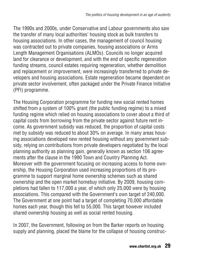The 1990s and 2000s, under Conservative and Labour governments also saw the transfer of many local authorities' housing stock as bulk transfers to housing associations. In other cases, the management of council housing was contracted out to private companies, housing associations or Arms Length Management Organisations (ALMOs). Councils no longer acquired land for clearance or development, and with the end of specific regeneration funding streams, council estates requiring regeneration, whether demolition and replacement or improvement, were increasingly transferred to private developers and housing associations. Estate regeneration became dependent on private sector involvement, often packaged under the Private Finance Initiative (PFI) programme.

The Housing Corporation programme for funding new social rented homes shifted from a system of 100% grant (the public funding regime) to a mixed funding regime which relied on housing associations to cover about a third of capital costs from borrowing from the private sector against future rent income. As government subsidy was reduced, the proportion of capital costs met by subsidy was reduced to about 30% on average. In many areas housing associations developed new rented housing without any government subsidy, relying on contributions from private developers negotiated by the local planning authority as planning gain, generally known as section 106 agreements after the clause in the 1990 Town and Country Planning Act. Moreover with the government focusing on increasing access to home ownership, the Housing Corporation used increasing proportions of its programme to support marginal home ownership schemes such as shared ownership and the open market homebuy initiative. By 2009, housing completions had fallen to 117,000 a year, of which only 25,000 were by housing associations. This compared with the Government's own target of 240,000. The Government at one point had a target of completing 70,000 affordable homes each year, though this fell to 55,000. This target however included shared ownership housing as well as social rented housing.

In 2007, the Government, following on from the Barker reports on housing supply and planning, placed the blame for the collapse of housing construc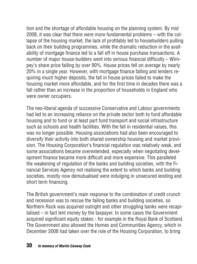tion and the shortage of affordable housing on the planning system. By mid 2008, it was clear that there were more fundamental problems – with the collapse of the housing market, the lack of profitably led to housebuilders pulling back on their building programmes, while the dramatic reduction in the availability of mortgage finance led to a fall off in house purchase transactions. A number of major house-builders went into serious financial difficulty – Wimpey's share price falling by over 90%. House prices fell on average by nearly 20% in a single year. However, with mortgage finance falling and lenders requiring much higher deposits, the fall in house prices failed to make the housing market more affordable, and for the first time in decades there was a fall rather than an increase in the proportion of households in England who were owner occupiers.

The neo-liberal agenda of successive Conservative and Labour governments had led to an increasing reliance on the private sector both to fund affordable housing and to fund or at least part fund transport and social infrastructure such as schools and health facilities. With the fall in residential values, this was no longer possible. Housing associations had also been encouraged to diversify their activity into both shared ownership housing and market provision. The Housing Corporation's financial regulation was relatively weak, and some associations became overextended, especially when negotiating development finance became more difficult and more expensive. This paralleled the weakening of regulation of the banks and building societies, with the Financial Services Agency not realising the extent to which banks and building societies, mostly now demutualised were indulging in unsecured lending and short term financing.

The British government's main response to the combination of credit crunch and recession was to rescue the failing banks and building societies, so Northern Rock was acquired outright and other struggling banks were recapitalised – in fact lent money by the taxpayer. In some cases the Government acquired significant equity stakes - for example in the Royal Bank of Scotland. The Government also allowed the Homes and Communities Agency, which in December 2008 had taken over the role of the Housing Corporation, to bring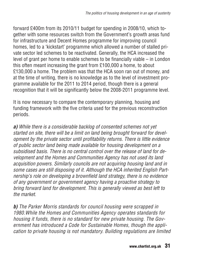forward £400m from its 2010/11 budget for spending in 2008/10, which together with some resources switch from the Government's growth areas fund for infrastructure and Decent Homes programme for improving council homes, led to a 'kickstart' programme which allowed a number of stalled private sector led schemes to be reactivated. Generally, the HCA increased the level of grant per home to enable schemes to be financially viable – in London this often meant increasing the grant from £100,000 a home, to about £130,000 a home. The problem was that the HCA soon ran out of money, and at the time of writing, there is no knowledge as to the level of investment programme available for the 2011 to 2014 period, though there is a general recognition that it will be significantly below the 2008-2011 programme level.

It is now necessary to compare the contemporary planning, housing and funding framework with the five criteria used for the previous reconstruction periods.

*a) While there is a considerable backlog of consented schemes not yet started on site, there will be a limit on land being brought forward for development by the private sector until profitability returns. There is little evidence of public sector land being made available for housing development on a subsidised basis. There is no central control over the release of land for development and the Homes and Communities Agency has not used its land acquisition powers. Similarly councils are not acquiring housing land and in some cases are still disposing of it. Although the HCA inherited English Partnership's role on developing a brownfield land strategy, there is no evidence of any government or government agency having a proactive strategy to bring forward land for development. This is generally viewed as best left to the market.*

*b) The Parker Morris standards for council housing were scrapped in 1980.While the Homes and Communities Agency operates standards for housing it funds, there is no standard for new private housing. The Government has introduced a Code for Sustainable Homes, though the application to private housing is not mandatory. Building regulations are limited*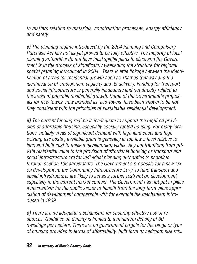*to matters relating to materials, construction processes, energy efficiency and safety.*

*c) The planning regime introduced by the 2004 Planning and Compulsory Purchase Act has not as yet proved to be fully effective. The majority of local planning authorities do not have local spatial plans in place and the Government is in the process of significantly weakening the structure for regional spatial planning introduced in 2004. There is little linkage between the identification of areas for residential growth such as Thames Gateway and the identification of employment capacity and its delivery. Funding for transport and social infrastructure is generally inadequate and not directly related to the areas of potential residential growth. Some of the Government's proposals for new towns, now branded as 'eco-towns' have been shown to be not fully consistent with the principles of sustainable residential development*.

*d) The current funding regime is inadequate to support the required provision of affordable housing, especially socially rented housing. For many locations, notably areas of significant demand with high land costs and high existing use costs , available grant is generally at too low a level relative to land and built cost to make a development viable. Any contributions from private residential value to the provision of affordable housing or transport and social infrastructure are for individual planning authorities to negotiate through section 106 agreements. The Government's proposals for a new tax on development, the Community Infrastructure Levy, to fund transport and social infrastructure, are likely to act as a further restraint on development, especially in the current market context. The Government has not put in place a mechanism for the public sector to benefit from the long-term value appreciation of development comparable with for example the mechanism introduced in 1909.*

*e) There are no adequate mechanisms for ensuring effective use of resources. Guidance on density is limited to a minimum density of 30 dwellings per hectare. There are no government targets for the range or type of housing provided in terms of affordability, built form or bedroom size mix.*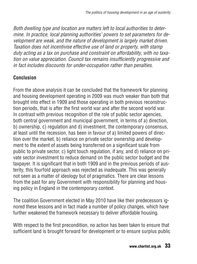*Both dwelling type and location are matters left to local authorities to determine. In practice, local planning authorities' powers to set parameters for development are weak, and the nature of development is largely market driven. Taxation does not incentivise effective use of land or property, with stamp duty acting as a tax on purchase and constraint on affordability, with no taxation on value appreciation. Council tax remains insufficiently progressive and in fact includes discounts for under-occupation rather than penalties.*

#### **Conclusion**

From the above analysis it can be concluded that the framework for planning and housing development operating in 2009 was much weaker than both that brought into effect in 1909 and those operating in both previous reconstruction periods, that is after the first world war and after the second world war. In contrast with previous recognition of the role of public sector agencies. both central government and municipal government, in terms of a) direction, b) ownership, c) regulation and d) investment, the contemporary consensus, at least until the recession, has been in favour of a) limited powers of direction over the market, b) reliance on private sector ownership and development to the extent of assets being transferred on a significant scale from public to private sector, c) light touch regulation, if any, and d) reliance on private sector investment to reduce demand on the public sector budget and the taxpayer. It is significant that in both 1909 and in the previous periods of austerity, this fourfold approach was rejected as inadequate. This was generally not seen as a matter of ideology but of pragmatics. There are clear lessons from the past for any Government with responsibility for planning and housing policy in England in the contemporary context.

The coalition Government elected in May 2010 have like their predecessors ignored these lessons and in fact made a number of policy changes, which have further weakened the framework necessary to deliver affordable housing.

With respect to the first precondition, no action has been taken to ensure that sufficient land is brought forward for development or to ensure surplus public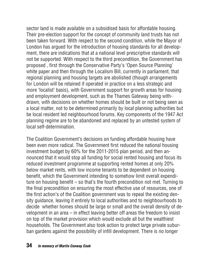sector land is made available on a subsidised basis for affordable housing. Their pre-election support for the concept of community land trusts has not been taken forward. With respect to the second condition, while the Mayor of London has argued for the introduction of housing standards for all development, there are indications that at a national level prescriptive standards will not be supported. With respect to the third precondition, the Government has proposed , first through the Conservative Party's 'Open Source Planning' white paper and then through the Localism Bill, currently in parliament, that regional planning and housing targets are abolished (though arrangements for London will be retained if operated in practice on a less strategic and more 'localist' basis), with Government support for growth areas for housing and employment development, such as the Thames Gateway being withdrawn, with decisions on whether homes should be built or not being seen as a local matter, not to be determined primarily by local planning authorities but be local resident led neighbourhood forums. Key components of the 1947 Act planning regime are to be abandoned and replaced by an untested system of local self-determination.

The Coalition Government's decisions on funding affordable housing have been even more radical. The Government first reduced the national housing investment budget by 60% for the 2011-2015 plan period, and then announced that it would stop all funding for social rented housing and focus its reduced investment programme at supporting rented homes at only 20% below market rents, with low income tenants to be dependent on housing benefit, which the Government intending to somehow limit overall expenditure on housing benefit – so that's the fourth precondition not met. Turning to the final precondition on ensuring the most effective use of resources, one of the first action's of the Coalition government was to repeal the existing density guidance, leaving it entirely to local authorities and to neighbourhoods to decide whether homes should be large or small and the overall density of development in an area – in effect leaving better off areas the freedom to insist on top of the market provision which would exclude all but the wealthiest households. The Government also took action to protect large private suburban gardens against the possibility of infill development. There is no longer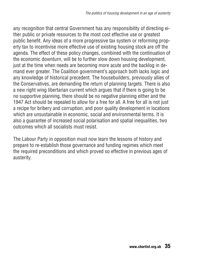any recognition that central Government has any responsibility of directing either public or private resources to the most cost effective use or greatest public benefit. Any ideas of a more progressive tax system or reforming property tax to incentivise more effective use of existing housing stock are off the agenda. The effect of these policy changes, combined with the continuation of the economic downturn, will be to further slow down housing development, just at the time when needs are becoming more acute and the backlog in demand ever greater. The Coalition government's approach both lacks logic and any knowledge of historical precedent. The housebuilders, previously allies of the Conservatives, are demanding the return of planning targets. There is also a new right wing libertarian current which argues that if there is going to be no supportive planning, there should be no negative planning either and the 1947 Act should be repealed to allow for a free for all. A free for all is not just a recipe for bribery and corruption, and poor quality development in locations which are unsustainable in economic, social and environmental terms. It is also a guarantee of increased social polarisation and spatial inequalities, two outcomes which all socialists must resist.

The Labour Party in opposition must now learn the lessons of history and prepare to re-establish those governance and funding regimes which meet the required preconditions and which proved so effective in previous ages of austerity.